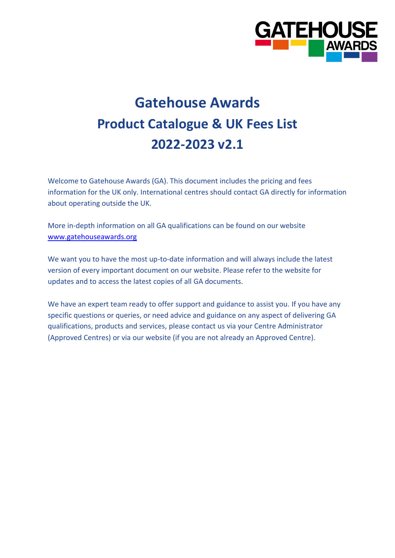

# **Gatehouse Awards Product Catalogue & UK Fees List 2022-2023 v2.1**

Welcome to Gatehouse Awards (GA). This document includes the pricing and fees information for the UK only. International centres should contact GA directly for information about operating outside the UK.

More in-depth information on all GA qualifications can be found on our website [www.gatehouseawards.org](http://www.gatehouseawards.org/)

We want you to have the most up-to-date information and will always include the latest version of every important document on our website. Please refer to the website for updates and to access the latest copies of all GA documents.

We have an expert team ready to offer support and guidance to assist you. If you have any specific questions or queries, or need advice and guidance on any aspect of delivering GA qualifications, products and services, please contact us via your Centre Administrator (Approved Centres) or via our website (if you are not already an Approved Centre).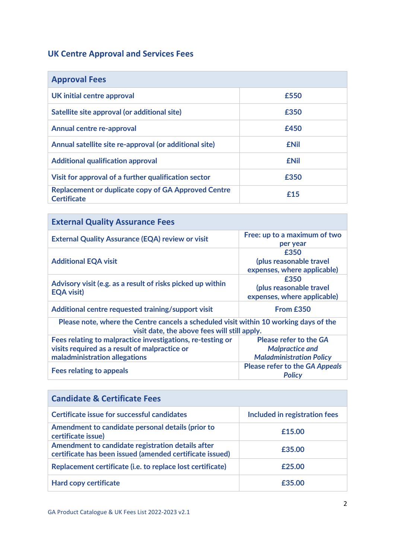#### **UK Centre Approval and Services Fees**

| <b>Approval Fees</b>                                                             |             |
|----------------------------------------------------------------------------------|-------------|
| UK initial centre approval                                                       | £550        |
| Satellite site approval (or additional site)                                     | £350        |
| <b>Annual centre re-approval</b>                                                 | £450        |
| Annual satellite site re-approval (or additional site)                           | <b>ENil</b> |
| <b>Additional qualification approval</b>                                         | <b>£Nil</b> |
| Visit for approval of a further qualification sector                             | <b>£350</b> |
| <b>Replacement or duplicate copy of GA Approved Centre</b><br><b>Certificate</b> | f15         |

| <b>External Quality Assurance Fees</b>                                                                                                |                                                                |
|---------------------------------------------------------------------------------------------------------------------------------------|----------------------------------------------------------------|
| <b>External Quality Assurance (EQA) review or visit</b>                                                                               | Free: up to a maximum of two<br>per year                       |
| <b>Additional EQA visit</b>                                                                                                           | £350<br>(plus reasonable travel<br>expenses, where applicable) |
| Advisory visit (e.g. as a result of risks picked up within<br><b>EQA visit)</b>                                                       | £350<br>(plus reasonable travel<br>expenses, where applicable) |
| Additional centre requested training/support visit                                                                                    | From £350                                                      |
| Please note, where the Centre cancels a scheduled visit within 10 working days of the<br>visit date, the above fees will still apply. |                                                                |
| Fees relating to malpractice investigations, re-testing or<br>visits required as a result of malpractice or                           | <b>Please refer to the GA</b><br><b>Malpractice and</b>        |
| maladministration allegations                                                                                                         | <b>Maladministration Policy</b>                                |
| <b>Fees relating to appeals</b>                                                                                                       | <b>Please refer to the GA Appeals</b><br><b>Policy</b>         |

| <b>Candidate &amp; Certificate Fees</b>                                                                       |                               |  |  |  |
|---------------------------------------------------------------------------------------------------------------|-------------------------------|--|--|--|
| Certificate issue for successful candidates                                                                   | Included in registration fees |  |  |  |
| Amendment to candidate personal details (prior to<br>certificate issue)                                       | £15.00                        |  |  |  |
| Amendment to candidate registration details after<br>certificate has been issued (amended certificate issued) | £35.00                        |  |  |  |
| Replacement certificate (i.e. to replace lost certificate)                                                    | £25.00                        |  |  |  |
| <b>Hard copy certificate</b>                                                                                  | £35.00                        |  |  |  |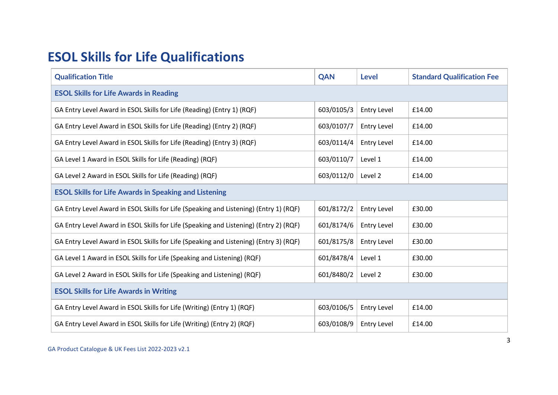### **ESOL Skills for Life Qualifications**

| <b>Qualification Title</b>                                                            | QAN        | Level              | <b>Standard Qualification Fee</b> |  |
|---------------------------------------------------------------------------------------|------------|--------------------|-----------------------------------|--|
| <b>ESOL Skills for Life Awards in Reading</b>                                         |            |                    |                                   |  |
| GA Entry Level Award in ESOL Skills for Life (Reading) (Entry 1) (RQF)                | 603/0105/3 | <b>Entry Level</b> | £14.00                            |  |
| GA Entry Level Award in ESOL Skills for Life (Reading) (Entry 2) (RQF)                | 603/0107/7 | Entry Level        | £14.00                            |  |
| GA Entry Level Award in ESOL Skills for Life (Reading) (Entry 3) (RQF)                | 603/0114/4 | Entry Level        | £14.00                            |  |
| GA Level 1 Award in ESOL Skills for Life (Reading) (RQF)                              | 603/0110/7 | Level 1            | £14.00                            |  |
| GA Level 2 Award in ESOL Skills for Life (Reading) (RQF)                              | 603/0112/0 | Level 2            | £14.00                            |  |
| <b>ESOL Skills for Life Awards in Speaking and Listening</b>                          |            |                    |                                   |  |
| GA Entry Level Award in ESOL Skills for Life (Speaking and Listening) (Entry 1) (RQF) | 601/8172/2 | <b>Entry Level</b> | £30.00                            |  |
| GA Entry Level Award in ESOL Skills for Life (Speaking and Listening) (Entry 2) (RQF) | 601/8174/6 | <b>Entry Level</b> | £30.00                            |  |
| GA Entry Level Award in ESOL Skills for Life (Speaking and Listening) (Entry 3) (RQF) | 601/8175/8 | <b>Entry Level</b> | £30.00                            |  |
| GA Level 1 Award in ESOL Skills for Life (Speaking and Listening) (RQF)               | 601/8478/4 | Level 1            | £30.00                            |  |
| GA Level 2 Award in ESOL Skills for Life (Speaking and Listening) (RQF)               | 601/8480/2 | Level 2            | £30.00                            |  |
| <b>ESOL Skills for Life Awards in Writing</b>                                         |            |                    |                                   |  |
| GA Entry Level Award in ESOL Skills for Life (Writing) (Entry 1) (RQF)                | 603/0106/5 | <b>Entry Level</b> | £14.00                            |  |
| GA Entry Level Award in ESOL Skills for Life (Writing) (Entry 2) (RQF)                | 603/0108/9 | <b>Entry Level</b> | £14.00                            |  |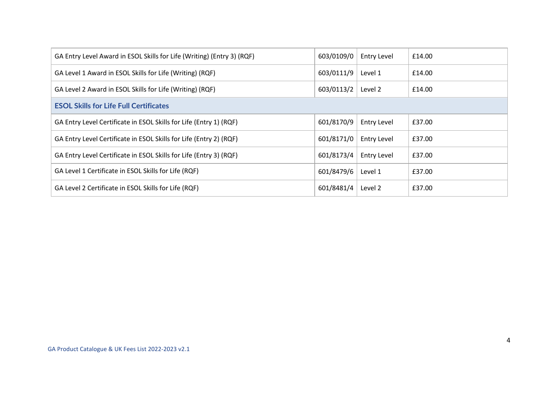| GA Entry Level Award in ESOL Skills for Life (Writing) (Entry 3) (RQF) | 603/0109/0 | <b>Entry Level</b> | £14.00 |
|------------------------------------------------------------------------|------------|--------------------|--------|
| GA Level 1 Award in ESOL Skills for Life (Writing) (RQF)               | 603/0111/9 | Level 1            | £14.00 |
| GA Level 2 Award in ESOL Skills for Life (Writing) (RQF)               | 603/0113/2 | Level 2            | £14.00 |
| <b>ESOL Skills for Life Full Certificates</b>                          |            |                    |        |
| GA Entry Level Certificate in ESOL Skills for Life (Entry 1) (RQF)     | 601/8170/9 | <b>Entry Level</b> | £37.00 |
| GA Entry Level Certificate in ESOL Skills for Life (Entry 2) (RQF)     | 601/8171/0 | <b>Entry Level</b> | £37.00 |
| GA Entry Level Certificate in ESOL Skills for Life (Entry 3) (RQF)     | 601/8173/4 | <b>Entry Level</b> | £37.00 |
| GA Level 1 Certificate in ESOL Skills for Life (RQF)                   | 601/8479/6 | Level 1            | £37.00 |
| GA Level 2 Certificate in ESOL Skills for Life (RQF)                   | 601/8481/4 | Level 2            | £37.00 |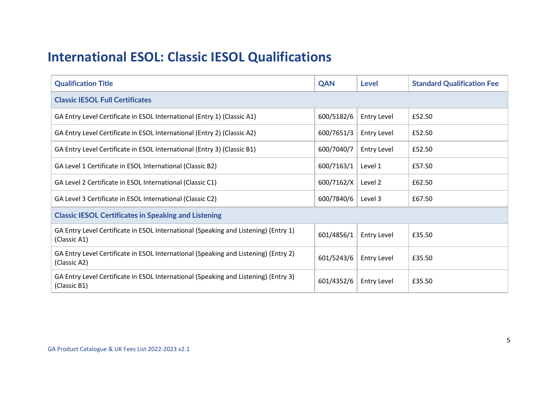#### **International ESOL: Classic IESOL Qualifications**

| <b>Qualification Title</b>                                                                          | QAN        | <b>Level</b>       | <b>Standard Qualification Fee</b> |
|-----------------------------------------------------------------------------------------------------|------------|--------------------|-----------------------------------|
| <b>Classic IESOL Full Certificates</b>                                                              |            |                    |                                   |
| GA Entry Level Certificate in ESOL International (Entry 1) (Classic A1)                             | 600/5182/6 | Entry Level        | £52.50                            |
| GA Entry Level Certificate in ESOL International (Entry 2) (Classic A2)                             | 600/7651/3 | <b>Entry Level</b> | £52.50                            |
| GA Entry Level Certificate in ESOL International (Entry 3) (Classic B1)                             | 600/7040/7 | <b>Entry Level</b> | £52.50                            |
| GA Level 1 Certificate in ESOL International (Classic B2)                                           | 600/7163/1 | Level 1            | £57.50                            |
| GA Level 2 Certificate in ESOL International (Classic C1)                                           | 600/7162/X | Level 2            | £62.50                            |
| GA Level 3 Certificate in ESOL International (Classic C2)                                           | 600/7840/6 | Level 3            | £67.50                            |
| <b>Classic IESOL Certificates in Speaking and Listening</b>                                         |            |                    |                                   |
| GA Entry Level Certificate in ESOL International (Speaking and Listening) (Entry 1)<br>(Classic A1) | 601/4856/1 | Entry Level        | £35.50                            |
| GA Entry Level Certificate in ESOL International (Speaking and Listening) (Entry 2)<br>(Classic A2) | 601/5243/6 | Entry Level        | £35.50                            |
| GA Entry Level Certificate in ESOL International (Speaking and Listening) (Entry 3)<br>(Classic B1) | 601/4352/6 | Entry Level        | £35.50                            |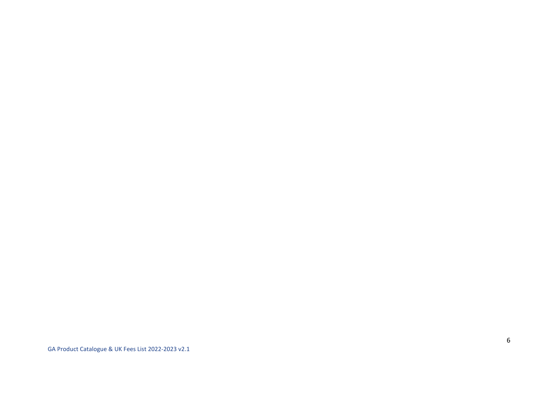GA Product Catalogue & UK Fees List 2022 -2023 v2.1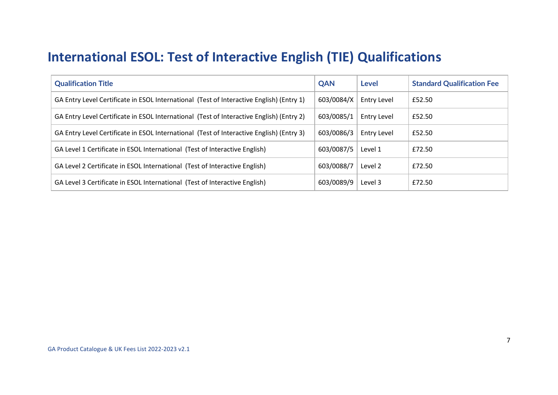#### **International ESOL: Test of Interactive English (TIE) Qualifications**

| <b>Qualification Title</b>                                                               | <b>QAN</b> | Level       | <b>Standard Qualification Fee</b> |
|------------------------------------------------------------------------------------------|------------|-------------|-----------------------------------|
| GA Entry Level Certificate in ESOL International (Test of Interactive English) (Entry 1) | 603/0084/X | Entry Level | £52.50                            |
| GA Entry Level Certificate in ESOL International (Test of Interactive English) (Entry 2) | 603/0085/1 | Entry Level | £52.50                            |
| GA Entry Level Certificate in ESOL International (Test of Interactive English) (Entry 3) | 603/0086/3 | Entry Level | £52.50                            |
| GA Level 1 Certificate in ESOL International (Test of Interactive English)               | 603/0087/5 | Level 1     | £72.50                            |
| GA Level 2 Certificate in ESOL International (Test of Interactive English)               | 603/0088/7 | Level 2     | £72.50                            |
| GA Level 3 Certificate in ESOL International (Test of Interactive English)               | 603/0089/9 | Level 3     | £72.50                            |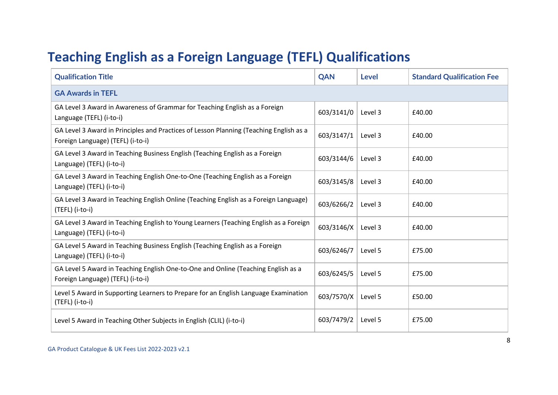### **Teaching English as a Foreign Language (TEFL) Qualifications**

| <b>Qualification Title</b>                                                                                                  | <b>QAN</b> | <b>Level</b> | <b>Standard Qualification Fee</b> |  |
|-----------------------------------------------------------------------------------------------------------------------------|------------|--------------|-----------------------------------|--|
| <b>GA Awards in TEFL</b>                                                                                                    |            |              |                                   |  |
| GA Level 3 Award in Awareness of Grammar for Teaching English as a Foreign<br>Language (TEFL) (i-to-i)                      | 603/3141/0 | Level 3      | £40.00                            |  |
| GA Level 3 Award in Principles and Practices of Lesson Planning (Teaching English as a<br>Foreign Language) (TEFL) (i-to-i) | 603/3147/1 | Level 3      | £40.00                            |  |
| GA Level 3 Award in Teaching Business English (Teaching English as a Foreign<br>Language) (TEFL) (i-to-i)                   | 603/3144/6 | Level 3      | £40.00                            |  |
| GA Level 3 Award in Teaching English One-to-One (Teaching English as a Foreign<br>Language) (TEFL) (i-to-i)                 | 603/3145/8 | Level 3      | £40.00                            |  |
| GA Level 3 Award in Teaching English Online (Teaching English as a Foreign Language)<br>(TEFL) (i-to-i)                     | 603/6266/2 | Level 3      | £40.00                            |  |
| GA Level 3 Award in Teaching English to Young Learners (Teaching English as a Foreign<br>Language) (TEFL) (i-to-i)          | 603/3146/X | Level 3      | £40.00                            |  |
| GA Level 5 Award in Teaching Business English (Teaching English as a Foreign<br>Language) (TEFL) (i-to-i)                   | 603/6246/7 | Level 5      | £75.00                            |  |
| GA Level 5 Award in Teaching English One-to-One and Online (Teaching English as a<br>Foreign Language) (TEFL) (i-to-i)      | 603/6245/5 | Level 5      | £75.00                            |  |
| Level 5 Award in Supporting Learners to Prepare for an English Language Examination<br>(TEFL) (i-to-i)                      | 603/7570/X | Level 5      | £50.00                            |  |
| Level 5 Award in Teaching Other Subjects in English (CLIL) (i-to-i)                                                         | 603/7479/2 | Level 5      | £75.00                            |  |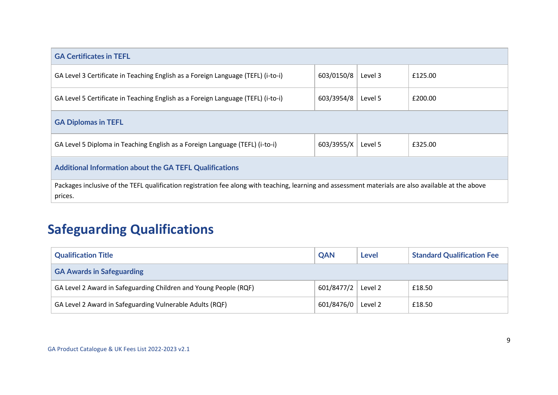| <b>GA Certificates in TEFL</b>                                                                                                                                  |            |         |         |
|-----------------------------------------------------------------------------------------------------------------------------------------------------------------|------------|---------|---------|
| GA Level 3 Certificate in Teaching English as a Foreign Language (TEFL) (i-to-i)                                                                                | 603/0150/8 | Level 3 | £125.00 |
| GA Level 5 Certificate in Teaching English as a Foreign Language (TEFL) (i-to-i)                                                                                | 603/3954/8 | Level 5 | £200.00 |
| <b>GA Diplomas in TEFL</b>                                                                                                                                      |            |         |         |
| GA Level 5 Diploma in Teaching English as a Foreign Language (TEFL) (i-to-i)                                                                                    | 603/3955/X | Level 5 | £325.00 |
| <b>Additional Information about the GA TEFL Qualifications</b>                                                                                                  |            |         |         |
| Packages inclusive of the TEFL qualification registration fee along with teaching, learning and assessment materials are also available at the above<br>prices. |            |         |         |

### **Safeguarding Qualifications**

| <b>Qualification Title</b>                                       | <b>QAN</b> | <b>Level</b> | <b>Standard Qualification Fee</b> |
|------------------------------------------------------------------|------------|--------------|-----------------------------------|
| <b>GA Awards in Safeguarding</b>                                 |            |              |                                   |
| GA Level 2 Award in Safeguarding Children and Young People (RQF) | 601/8477/2 | Level 2      | £18.50                            |
| GA Level 2 Award in Safeguarding Vulnerable Adults (RQF)         | 601/8476/0 | Level 2      | £18.50                            |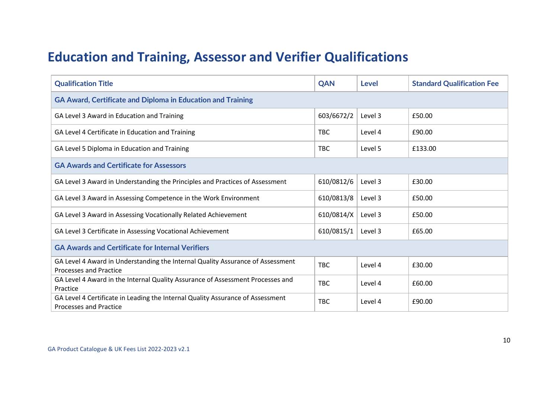#### **Education and Training, Assessor and Verifier Qualifications**

| <b>Qualification Title</b>                                                                                      | <b>QAN</b> | <b>Level</b> | <b>Standard Qualification Fee</b> |
|-----------------------------------------------------------------------------------------------------------------|------------|--------------|-----------------------------------|
| <b>GA Award, Certificate and Diploma in Education and Training</b>                                              |            |              |                                   |
| GA Level 3 Award in Education and Training                                                                      | 603/6672/2 | Level 3      | £50.00                            |
| GA Level 4 Certificate in Education and Training                                                                | TBC        | Level 4      | £90.00                            |
| GA Level 5 Diploma in Education and Training                                                                    | <b>TBC</b> | Level 5      | £133.00                           |
| <b>GA Awards and Certificate for Assessors</b>                                                                  |            |              |                                   |
| GA Level 3 Award in Understanding the Principles and Practices of Assessment                                    | 610/0812/6 | Level 3      | £30.00                            |
| GA Level 3 Award in Assessing Competence in the Work Environment                                                | 610/0813/8 | Level 3      | £50.00                            |
| GA Level 3 Award in Assessing Vocationally Related Achievement                                                  | 610/0814/X | Level 3      | £50.00                            |
| GA Level 3 Certificate in Assessing Vocational Achievement                                                      | 610/0815/1 | Level 3      | £65.00                            |
| <b>GA Awards and Certificate for Internal Verifiers</b>                                                         |            |              |                                   |
| GA Level 4 Award in Understanding the Internal Quality Assurance of Assessment<br><b>Processes and Practice</b> | <b>TBC</b> | Level 4      | £30.00                            |
| GA Level 4 Award in the Internal Quality Assurance of Assessment Processes and<br>Practice                      | <b>TBC</b> | Level 4      | £60.00                            |
| GA Level 4 Certificate in Leading the Internal Quality Assurance of Assessment<br><b>Processes and Practice</b> | TBC        | Level 4      | £90.00                            |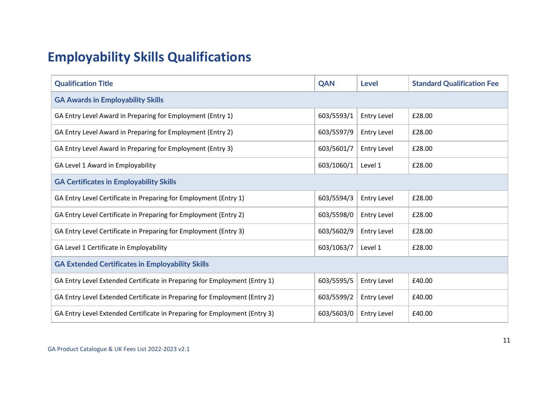### **Employability Skills Qualifications**

| <b>Qualification Title</b>                                                | <b>QAN</b> | <b>Level</b>       | <b>Standard Qualification Fee</b> |  |
|---------------------------------------------------------------------------|------------|--------------------|-----------------------------------|--|
| <b>GA Awards in Employability Skills</b>                                  |            |                    |                                   |  |
| GA Entry Level Award in Preparing for Employment (Entry 1)                | 603/5593/1 | <b>Entry Level</b> | £28.00                            |  |
| GA Entry Level Award in Preparing for Employment (Entry 2)                | 603/5597/9 | <b>Entry Level</b> | £28.00                            |  |
| GA Entry Level Award in Preparing for Employment (Entry 3)                | 603/5601/7 | Entry Level        | £28.00                            |  |
| GA Level 1 Award in Employability                                         | 603/1060/1 | Level 1            | £28.00                            |  |
| <b>GA Certificates in Employability Skills</b>                            |            |                    |                                   |  |
| GA Entry Level Certificate in Preparing for Employment (Entry 1)          | 603/5594/3 | <b>Entry Level</b> | £28.00                            |  |
| GA Entry Level Certificate in Preparing for Employment (Entry 2)          | 603/5598/0 | <b>Entry Level</b> | £28.00                            |  |
| GA Entry Level Certificate in Preparing for Employment (Entry 3)          | 603/5602/9 | <b>Entry Level</b> | £28.00                            |  |
| GA Level 1 Certificate in Employability                                   | 603/1063/7 | Level 1            | £28.00                            |  |
| <b>GA Extended Certificates in Employability Skills</b>                   |            |                    |                                   |  |
| GA Entry Level Extended Certificate in Preparing for Employment (Entry 1) | 603/5595/5 | Entry Level        | £40.00                            |  |
| GA Entry Level Extended Certificate in Preparing for Employment (Entry 2) | 603/5599/2 | <b>Entry Level</b> | £40.00                            |  |
| GA Entry Level Extended Certificate in Preparing for Employment (Entry 3) | 603/5603/0 | <b>Entry Level</b> | £40.00                            |  |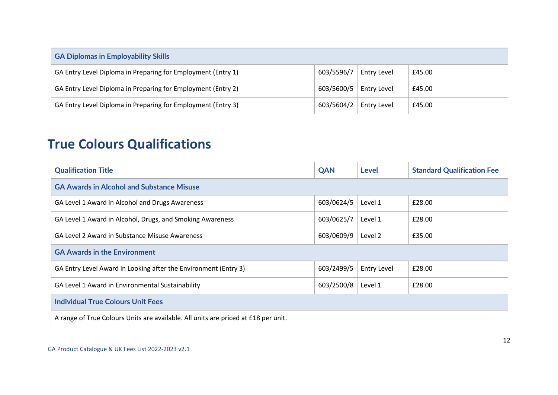| <b>GA Diplomas in Employability Skills</b>                   |            |                    |        |
|--------------------------------------------------------------|------------|--------------------|--------|
| GA Entry Level Diploma in Preparing for Employment (Entry 1) | 603/5596/7 | <b>Entry Level</b> | £45.00 |
| GA Entry Level Diploma in Preparing for Employment (Entry 2) | 603/5600/5 | <b>Entry Level</b> | £45.00 |
| GA Entry Level Diploma in Preparing for Employment (Entry 3) | 603/5604/2 | <b>Entry Level</b> | £45.00 |

## **True Colours Qualifications**

| <b>Qualification Title</b>                                                         | <b>QAN</b> | Level              | <b>Standard Qualification Fee</b> |  |  |
|------------------------------------------------------------------------------------|------------|--------------------|-----------------------------------|--|--|
| <b>GA Awards in Alcohol and Substance Misuse</b>                                   |            |                    |                                   |  |  |
| GA Level 1 Award in Alcohol and Drugs Awareness                                    | 603/0624/5 | Level 1            | £28.00                            |  |  |
| GA Level 1 Award in Alcohol, Drugs, and Smoking Awareness                          | 603/0625/7 | Level 1            | £28.00                            |  |  |
| GA Level 2 Award in Substance Misuse Awareness                                     | 603/0609/9 | Level 2            | £35.00                            |  |  |
| <b>GA Awards in the Environment</b>                                                |            |                    |                                   |  |  |
| GA Entry Level Award in Looking after the Environment (Entry 3)                    | 603/2499/5 | <b>Entry Level</b> | £28.00                            |  |  |
| GA Level 1 Award in Environmental Sustainability                                   | 603/2500/8 | Level 1            | £28.00                            |  |  |
| <b>Individual True Colours Unit Fees</b>                                           |            |                    |                                   |  |  |
| A range of True Colours Units are available. All units are priced at £18 per unit. |            |                    |                                   |  |  |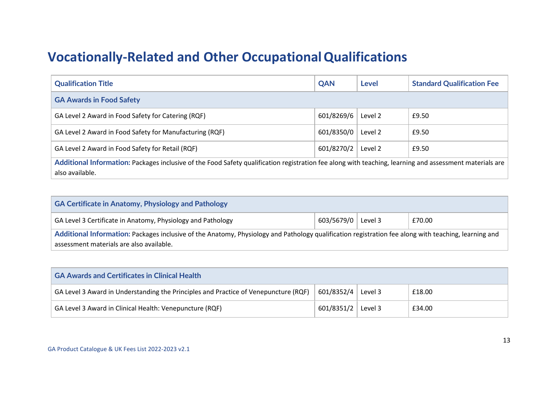### **Vocationally-Related and Other OccupationalQualifications**

| <b>QAN</b>                                                                                                                                                                 | Level   | <b>Standard Qualification Fee</b> |  |  |
|----------------------------------------------------------------------------------------------------------------------------------------------------------------------------|---------|-----------------------------------|--|--|
| <b>GA Awards in Food Safety</b>                                                                                                                                            |         |                                   |  |  |
| 601/8269/6                                                                                                                                                                 | Level 2 | £9.50                             |  |  |
| 601/8350/0                                                                                                                                                                 | Level 2 | £9.50                             |  |  |
| 601/8270/2                                                                                                                                                                 | Level 2 | £9.50                             |  |  |
| Additional Information: Packages inclusive of the Food Safety qualification registration fee along with teaching, learning and assessment materials are<br>also available. |         |                                   |  |  |
|                                                                                                                                                                            |         |                                   |  |  |

| <b>GA Certificate in Anatomy, Physiology and Pathology</b>                                                                                                                                       |            |         |        |  |
|--------------------------------------------------------------------------------------------------------------------------------------------------------------------------------------------------|------------|---------|--------|--|
| GA Level 3 Certificate in Anatomy, Physiology and Pathology                                                                                                                                      | 603/5679/0 | Level 3 | £70.00 |  |
| Additional Information: Packages inclusive of the Anatomy, Physiology and Pathology qualification registration fee along with teaching, learning and<br>assessment materials are also available. |            |         |        |  |

| <b>GA Awards and Certificates in Clinical Health</b>                                |            |         |        |
|-------------------------------------------------------------------------------------|------------|---------|--------|
| GA Level 3 Award in Understanding the Principles and Practice of Venepuncture (RQF) | 601/8352/4 | Level 3 | £18.00 |
| GA Level 3 Award in Clinical Health: Venepuncture (RQF)                             | 601/8351/2 | Level 3 | £34.00 |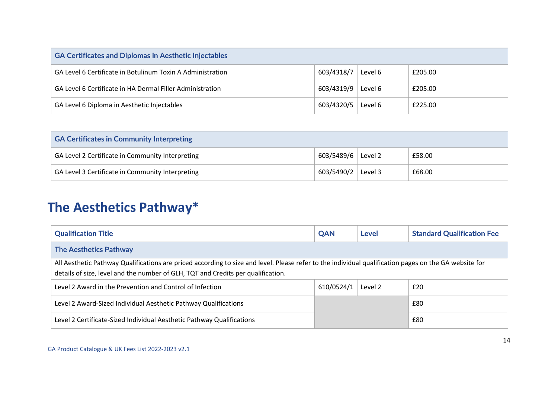| <b>GA Certificates and Diplomas in Aesthetic Injectables</b>                                   |            |         |         |  |
|------------------------------------------------------------------------------------------------|------------|---------|---------|--|
| 603/4318/7<br>Level 6<br>£205.00<br>GA Level 6 Certificate in Botulinum Toxin A Administration |            |         |         |  |
| GA Level 6 Certificate in HA Dermal Filler Administration                                      | 603/4319/9 | Level 6 | £205.00 |  |
| GA Level 6 Diploma in Aesthetic Injectables                                                    | 603/4320/5 | Level 6 | £225.00 |  |

| <b>GA Certificates in Community Interpreting</b> |            |         |        |
|--------------------------------------------------|------------|---------|--------|
| GA Level 2 Certificate in Community Interpreting | 603/5489/6 | Level 2 | £58.00 |
| GA Level 3 Certificate in Community Interpreting | 603/5490/2 | Level 3 | £68.00 |

### **The Aesthetics Pathway\***

| <b>Qualification Title</b>                                                                                                                            | <b>QAN</b> | Level   | <b>Standard Qualification Fee</b> |  |  |
|-------------------------------------------------------------------------------------------------------------------------------------------------------|------------|---------|-----------------------------------|--|--|
| <b>The Aesthetics Pathway</b>                                                                                                                         |            |         |                                   |  |  |
| All Aesthetic Pathway Qualifications are priced according to size and level. Please refer to the individual qualification pages on the GA website for |            |         |                                   |  |  |
| details of size, level and the number of GLH, TQT and Credits per qualification.                                                                      |            |         |                                   |  |  |
| Level 2 Award in the Prevention and Control of Infection                                                                                              | 610/0524/1 | Level 2 | £20                               |  |  |
| Level 2 Award-Sized Individual Aesthetic Pathway Qualifications                                                                                       |            |         | £80                               |  |  |
| Level 2 Certificate-Sized Individual Aesthetic Pathway Qualifications                                                                                 |            |         | £80                               |  |  |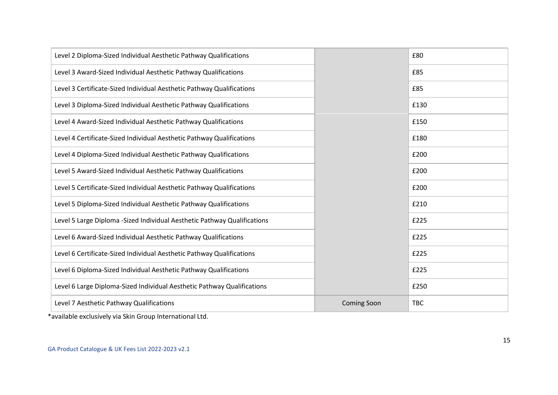| Level 2 Diploma-Sized Individual Aesthetic Pathway Qualifications        |                    | £80        |
|--------------------------------------------------------------------------|--------------------|------------|
| Level 3 Award-Sized Individual Aesthetic Pathway Qualifications          |                    | £85        |
| Level 3 Certificate-Sized Individual Aesthetic Pathway Qualifications    |                    | £85        |
| Level 3 Diploma-Sized Individual Aesthetic Pathway Qualifications        |                    | £130       |
| Level 4 Award-Sized Individual Aesthetic Pathway Qualifications          |                    | £150       |
| Level 4 Certificate-Sized Individual Aesthetic Pathway Qualifications    |                    | £180       |
| Level 4 Diploma-Sized Individual Aesthetic Pathway Qualifications        |                    | £200       |
| Level 5 Award-Sized Individual Aesthetic Pathway Qualifications          |                    | £200       |
| Level 5 Certificate-Sized Individual Aesthetic Pathway Qualifications    |                    | £200       |
| Level 5 Diploma-Sized Individual Aesthetic Pathway Qualifications        |                    | £210       |
| Level 5 Large Diploma -Sized Individual Aesthetic Pathway Qualifications |                    | £225       |
| Level 6 Award-Sized Individual Aesthetic Pathway Qualifications          |                    | £225       |
| Level 6 Certificate-Sized Individual Aesthetic Pathway Qualifications    |                    | £225       |
| Level 6 Diploma-Sized Individual Aesthetic Pathway Qualifications        |                    | £225       |
| Level 6 Large Diploma-Sized Individual Aesthetic Pathway Qualifications  |                    | £250       |
| Level 7 Aesthetic Pathway Qualifications                                 | <b>Coming Soon</b> | <b>TBC</b> |

\*available exclusively via Skin Group International Ltd.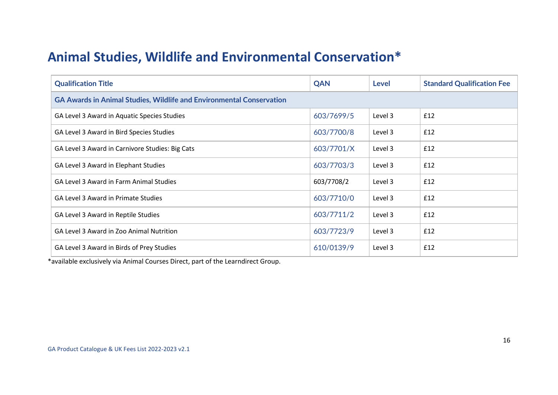#### **Animal Studies, Wildlife and Environmental Conservation\***

| <b>Qualification Title</b>                                                  | <b>QAN</b> | Level   | <b>Standard Qualification Fee</b> |  |  |
|-----------------------------------------------------------------------------|------------|---------|-----------------------------------|--|--|
| <b>GA Awards in Animal Studies, Wildlife and Environmental Conservation</b> |            |         |                                   |  |  |
| GA Level 3 Award in Aquatic Species Studies                                 | 603/7699/5 | Level 3 | £12                               |  |  |
| GA Level 3 Award in Bird Species Studies                                    | 603/7700/8 | Level 3 | £12                               |  |  |
| GA Level 3 Award in Carnivore Studies: Big Cats                             | 603/7701/X | Level 3 | £12                               |  |  |
| GA Level 3 Award in Elephant Studies                                        | 603/7703/3 | Level 3 | £12                               |  |  |
| <b>GA Level 3 Award in Farm Animal Studies</b>                              | 603/7708/2 | Level 3 | £12                               |  |  |
| GA Level 3 Award in Primate Studies                                         | 603/7710/0 | Level 3 | £12                               |  |  |
| GA Level 3 Award in Reptile Studies                                         | 603/7711/2 | Level 3 | £12                               |  |  |
| GA Level 3 Award in Zoo Animal Nutrition                                    | 603/7723/9 | Level 3 | £12                               |  |  |
| GA Level 3 Award in Birds of Prey Studies                                   | 610/0139/9 | Level 3 | £12                               |  |  |

\*available exclusively via Animal Courses Direct, part of the Learndirect Group.